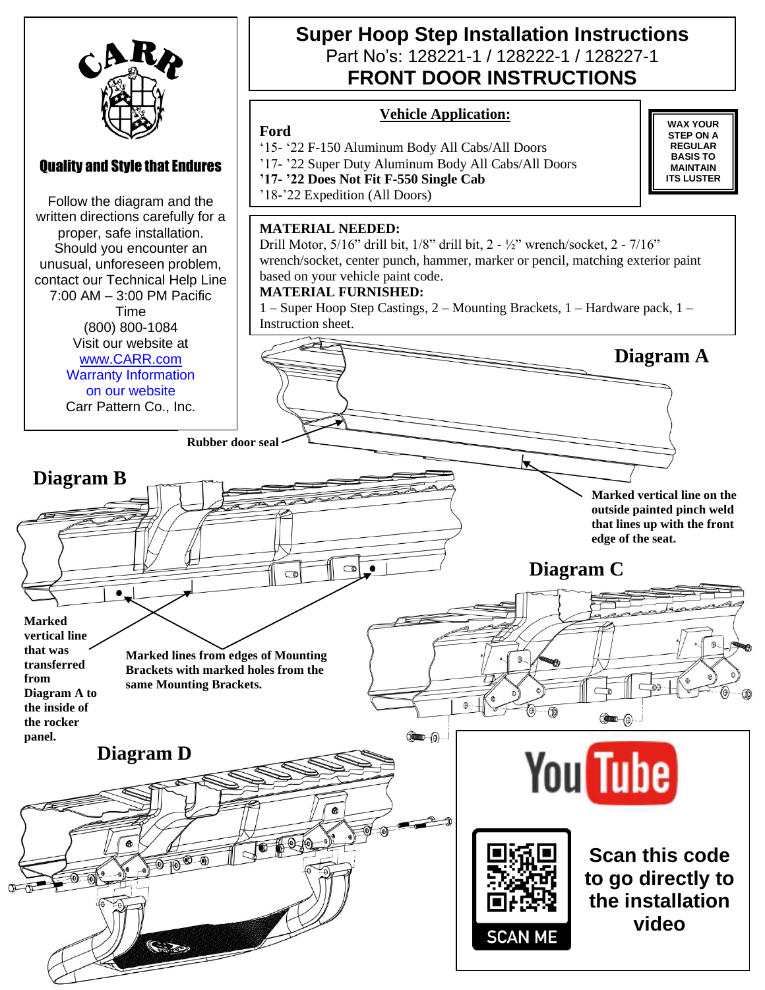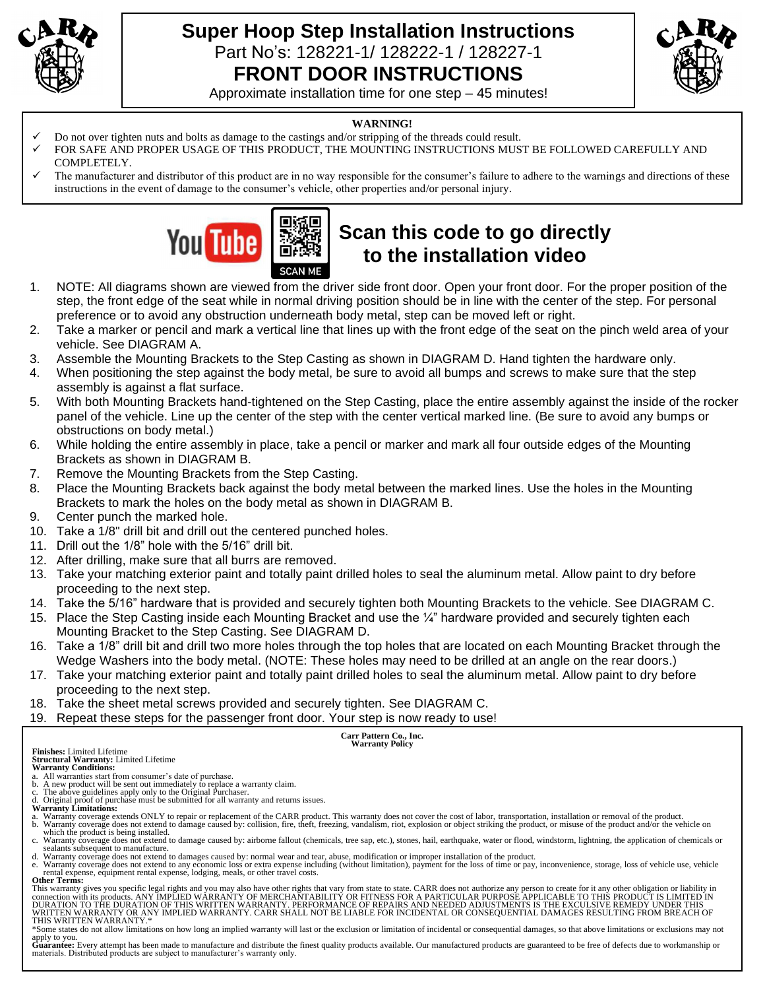

# **Super Hoop Step Installation Instructions** Part No's: 128221-1/ 128222-1 / 128227-1 **FRONT DOOR INSTRUCTIONS**



Approximate installation time for one step – 45 minutes!

#### **WARNING!**

- ✓ Do not over tighten nuts and bolts as damage to the castings and/or stripping of the threads could result.
- FOR SAFE AND PROPER USAGE OF THIS PRODUCT, THE MOUNTING INSTRUCTIONS MUST BE FOLLOWED CAREFULLY AND COMPLETELY.
- The manufacturer and distributor of this product are in no way responsible for the consumer's failure to adhere to the warnings and directions of these instructions in the event of damage to the consumer's vehicle, other properties and/or personal injury.



# **Scan this code to go directly to the installation video**

- 1. NOTE: All diagrams shown are viewed from the driver side front door. Open your front door. For the proper position of the step, the front edge of the seat while in normal driving position should be in line with the center of the step. For personal preference or to avoid any obstruction underneath body metal, step can be moved left or right.
- 2. Take a marker or pencil and mark a vertical line that lines up with the front edge of the seat on the pinch weld area of your vehicle. See DIAGRAM A.
- 3. Assemble the Mounting Brackets to the Step Casting as shown in DIAGRAM D. Hand tighten the hardware only.
- 4. When positioning the step against the body metal, be sure to avoid all bumps and screws to make sure that the step assembly is against a flat surface.
- 5. With both Mounting Brackets hand-tightened on the Step Casting, place the entire assembly against the inside of the rocker panel of the vehicle. Line up the center of the step with the center vertical marked line. (Be sure to avoid any bumps or obstructions on body metal.)
- 6. While holding the entire assembly in place, take a pencil or marker and mark all four outside edges of the Mounting Brackets as shown in DIAGRAM B.
- 7. Remove the Mounting Brackets from the Step Casting.
- 8. Place the Mounting Brackets back against the body metal between the marked lines. Use the holes in the Mounting Brackets to mark the holes on the body metal as shown in DIAGRAM B.
- 9. Center punch the marked hole.
- 10. Take a 1/8" drill bit and drill out the centered punched holes.
- 11. Drill out the 1/8" hole with the 5/16" drill bit.
- 12. After drilling, make sure that all burrs are removed.
- 13. Take your matching exterior paint and totally paint drilled holes to seal the aluminum metal. Allow paint to dry before proceeding to the next step.
- 14. Take the 5/16" hardware that is provided and securely tighten both Mounting Brackets to the vehicle. See DIAGRAM C.
- 15. Place the Step Casting inside each Mounting Bracket and use the  $\frac{1}{4}$ " hardware provided and securely tighten each Mounting Bracket to the Step Casting. See DIAGRAM D.
- 16. Take a 1/8" drill bit and drill two more holes through the top holes that are located on each Mounting Bracket through the Wedge Washers into the body metal. (NOTE: These holes may need to be drilled at an angle on the rear doors.)
- 17. Take your matching exterior paint and totally paint drilled holes to seal the aluminum metal. Allow paint to dry before proceeding to the next step.
- 18. Take the sheet metal screws provided and securely tighten. See DIAGRAM C.
- 19. Repeat these steps for the passenger front door. Your step is now ready to use!

**Carr Pattern Co., Inc. Warranty Policy**

**Finishes:** Limited Lifetime

**Structural Warranty:** Limited Lifetime **Warranty Conditions:**

- a. All warranties start from consumer's date of purchase. b. A new product will be sent out immediately to replace a warranty claim. c. The above guidelines apply only to the Original Purchaser.
- d. Original proof of purchase must be submitted for all warranty and returns issues. **Warranty Limitations:**
- 
- a. Warranty coverage extends ONLY to repair or replacement of the CARR product. This warranty does not cover the cost of labor, transportation, installation or removal of the product.<br>b. Warranty coverage does not extend t
- which the product is being installed.<br>c. Warranty coverage does not extend to damage caused by: airborne fallout (chemicals, tree sap, etc.), stones, hail, earthquake, water or flood, windstorm, lightning, the application sealants subsequent to manufacture.
- d. Warranty coverage does not extend to damages caused by: normal wear and tear, abuse, modification or improper installation of the product.<br>e. Warranty coverage does not extend to any economic loss or extra expense inclu

rental expense, equipment rental expense, lodging, meals, or other travel costs. **Other Terms:**

This warranty gives you specific legal rights and you may also have other rights that vary from state to state. CARR does not authorize any person to create for it any other obligation or liability in<br>connection with its p WRITTEN WARRANTY OR ANY IMPLIED WARRANTY. CARR SHALL NOT BE LIABLE FOR INCIDENTAL OR CONSEQUENTIAL DAMAGES RESULTING FROM BREACH OF<br>THIS WRITTEN WARRANTY.\*

\*Some states do not allow limitations on how long an implied warranty will last or the exclusion or limitation of incidental or consequential damages, so that above limitations or exclusions may not

apply to you.<br>Guarantee: Every attempt has been made to manufacture and distribute the finest quality products available. Our manufactured products are guaranteed to be free of defects due to workmanship or materials. Distributed products are subject to manufacturer's warranty only.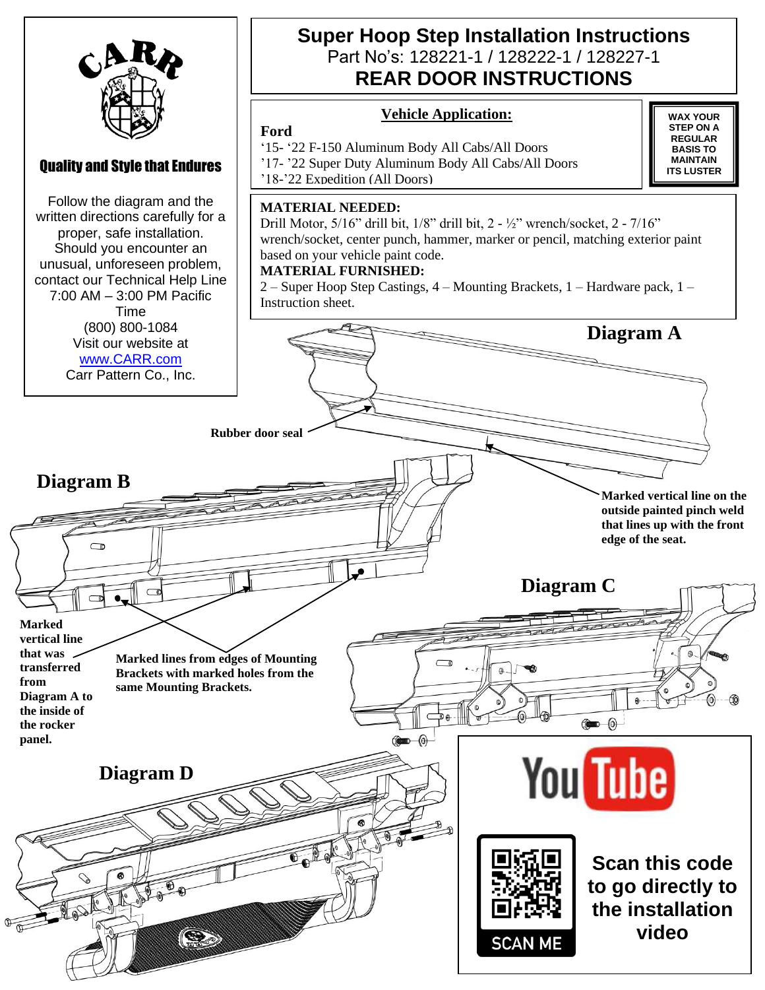

Follow the diagram and the written directions carefully for a proper, safe installation. Should you encounter an unusual, unforeseen problem, contact our Technical Help Line 7:00 AM – 3:00 PM Pacific Time (800) 800-1084 Visit our website at [www.CARR.com](http://www.carr.com/) Carr Pattern Co., Inc.

# **Super Hoop Step Installation Instructions**  Part No's: 128221-1 / 128222-1 / 128227-1 **REAR DOOR INSTRUCTIONS**

### **Vehicle Application:**

#### **Ford**

'15- '22 F-150 Aluminum Body All Cabs/All Doors

'17- '22 Super Duty Aluminum Body All Cabs/All Doors

'18-'22 Expedition (All Doors)

### **MATERIAL NEEDED:**

Drill Motor, 5/16" drill bit, 1/8" drill bit, 2 - ½" wrench/socket, 2 - 7/16" wrench/socket, center punch, hammer, marker or pencil, matching exterior paint based on your vehicle paint code.

### **MATERIAL FURNISHED:**

2 – Super Hoop Step Castings, 4 – Mounting Brackets, 1 – Hardware pack, 1 – Instruction sheet.

**Rubber door seal Diagram B**  $\subset \circ$ **Marked vertical line that was Marked lines from edges of Mounting transferred Brackets with marked holes from the from same Mounting Brackets. Diagram A to the inside of the rocker panel.**   $\circledcirc$ **Diagram D**



**Scan this code to go directly to the installation video**

**WAX YOUR STEP ON A REGULAR BASIS TO MAINTAIN ITS LUSTER**

**Marked vertical line on the outside painted pinch weld that lines up with the front** 

**edge of the seat.**

**Diagram C**

 $\circledcirc$   $\circledcirc$ 

**You Tube** 

**Diagram A**